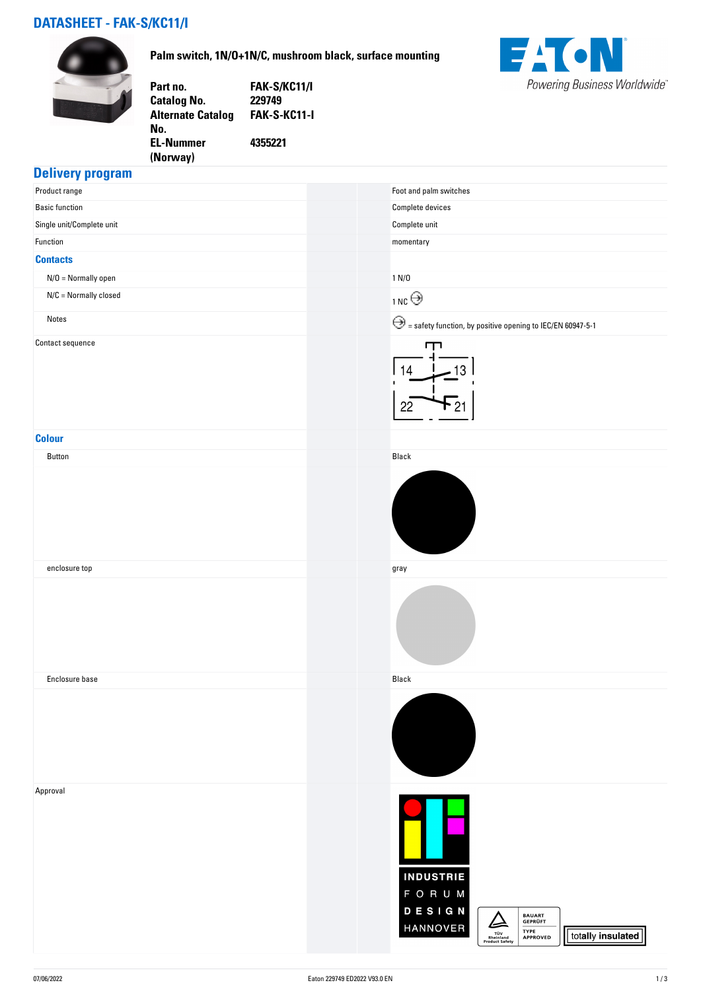# **DATASHEET - FAK-S/KC11/I**



**Palm switch, 1N/O+1N/C, mushroom black, surface mounting**

**FAK-S-KC11-I**

**4355221**

**Part no. FAK-S/KC11/I**

**Catalog No. Alternate Catalog**

**EL-Nummer (Norway)** 

**No.** 



## **Delivery program**

| . .<br>$\sim$<br>Product range | Foot and palm switches                                                                                                                                                                   |
|--------------------------------|------------------------------------------------------------------------------------------------------------------------------------------------------------------------------------------|
| <b>Basic function</b>          | Complete devices                                                                                                                                                                         |
| Single unit/Complete unit      | ${\sf Complete}$ unit                                                                                                                                                                    |
| Function                       | $momentary$                                                                                                                                                                              |
| <b>Contacts</b>                |                                                                                                                                                                                          |
| $N/O = Normally open$          | 1 N/D                                                                                                                                                                                    |
| $N/C =$ Normally closed        | 1NC                                                                                                                                                                                      |
| Notes                          | $\bigodot$ = safety function, by positive opening to IEC/EN 60947-5-1                                                                                                                    |
| Contact sequence               | ╓╖<br>14<br>3<br>22                                                                                                                                                                      |
| <b>Colour</b>                  |                                                                                                                                                                                          |
| Button                         | Black                                                                                                                                                                                    |
|                                |                                                                                                                                                                                          |
| enclosure top                  | gray                                                                                                                                                                                     |
|                                |                                                                                                                                                                                          |
| Enclosure base                 | Black                                                                                                                                                                                    |
|                                |                                                                                                                                                                                          |
| Approval                       | <b>INDUSTRIE</b><br>F O R U M<br>DESIGN<br><b>BAUART<br/>GEPRÜFT</b><br>$\vartriangle$<br>HANNOVER<br>TYPE<br>TŪV<br>Rheinland<br>Product Safety<br>totally insulated<br><b>APPROVED</b> |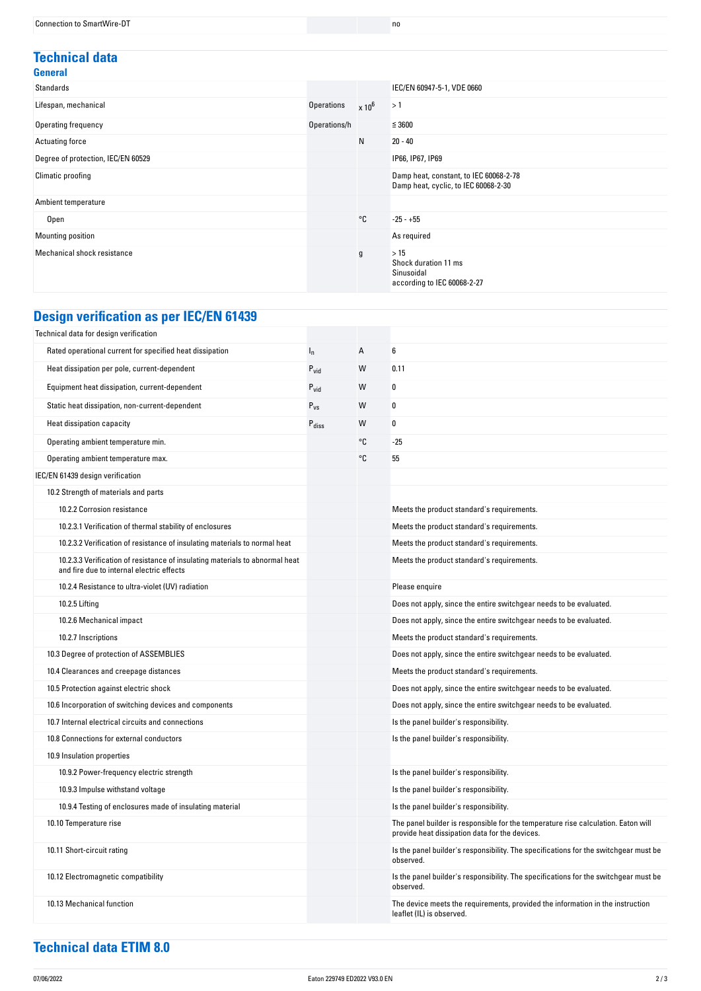#### **Technical data General**

| Standards                          |                   |          | IEC/EN 60947-5-1, VDE 0660                                                     |
|------------------------------------|-------------------|----------|--------------------------------------------------------------------------------|
| Lifespan, mechanical               | <b>Operations</b> | $x 10^6$ | >1                                                                             |
| Operating frequency                | Operations/h      |          | $\leq$ 3600                                                                    |
| Actuating force                    |                   | N        | $20 - 40$                                                                      |
| Degree of protection, IEC/EN 60529 |                   |          | IP66, IP67, IP69                                                               |
| Climatic proofing                  |                   |          | Damp heat, constant, to IEC 60068-2-78<br>Damp heat, cyclic, to IEC 60068-2-30 |
| Ambient temperature                |                   |          |                                                                                |
| Open                               |                   | °C       | $-25 - +55$                                                                    |
| Mounting position                  |                   |          | As required                                                                    |
| Mechanical shock resistance        |                   | g        | >15<br>Shock duration 11 ms<br>Sinusoidal<br>according to IEC 60068-2-27       |

# **Design verification as per IEC/EN 61439**

| Technical data for design verification                                                                                    |                   |    |                                                                                                                                     |
|---------------------------------------------------------------------------------------------------------------------------|-------------------|----|-------------------------------------------------------------------------------------------------------------------------------------|
| Rated operational current for specified heat dissipation                                                                  | $I_n$             | Α  | 6                                                                                                                                   |
| Heat dissipation per pole, current-dependent                                                                              | $P_{\text{vid}}$  | W  | 0.11                                                                                                                                |
| Equipment heat dissipation, current-dependent                                                                             | $P_{\text{vid}}$  | W  | 0                                                                                                                                   |
| Static heat dissipation, non-current-dependent                                                                            | $P_{VS}$          | W  | 0                                                                                                                                   |
| Heat dissipation capacity                                                                                                 | $P_{\text{diss}}$ | W  | 0                                                                                                                                   |
| Operating ambient temperature min.                                                                                        |                   | °C | $-25$                                                                                                                               |
| Operating ambient temperature max.                                                                                        |                   | °C | 55                                                                                                                                  |
| IEC/EN 61439 design verification                                                                                          |                   |    |                                                                                                                                     |
| 10.2 Strength of materials and parts                                                                                      |                   |    |                                                                                                                                     |
| 10.2.2 Corrosion resistance                                                                                               |                   |    | Meets the product standard's requirements.                                                                                          |
| 10.2.3.1 Verification of thermal stability of enclosures                                                                  |                   |    | Meets the product standard's requirements.                                                                                          |
| 10.2.3.2 Verification of resistance of insulating materials to normal heat                                                |                   |    | Meets the product standard's requirements.                                                                                          |
| 10.2.3.3 Verification of resistance of insulating materials to abnormal heat<br>and fire due to internal electric effects |                   |    | Meets the product standard's requirements.                                                                                          |
| 10.2.4 Resistance to ultra-violet (UV) radiation                                                                          |                   |    | Please enquire                                                                                                                      |
| 10.2.5 Lifting                                                                                                            |                   |    | Does not apply, since the entire switchgear needs to be evaluated.                                                                  |
| 10.2.6 Mechanical impact                                                                                                  |                   |    | Does not apply, since the entire switchgear needs to be evaluated.                                                                  |
| 10.2.7 Inscriptions                                                                                                       |                   |    | Meets the product standard's requirements.                                                                                          |
| 10.3 Degree of protection of ASSEMBLIES                                                                                   |                   |    | Does not apply, since the entire switchgear needs to be evaluated.                                                                  |
| 10.4 Clearances and creepage distances                                                                                    |                   |    | Meets the product standard's requirements.                                                                                          |
| 10.5 Protection against electric shock                                                                                    |                   |    | Does not apply, since the entire switchgear needs to be evaluated.                                                                  |
| 10.6 Incorporation of switching devices and components                                                                    |                   |    | Does not apply, since the entire switchgear needs to be evaluated.                                                                  |
| 10.7 Internal electrical circuits and connections                                                                         |                   |    | Is the panel builder's responsibility.                                                                                              |
| 10.8 Connections for external conductors                                                                                  |                   |    | Is the panel builder's responsibility.                                                                                              |
| 10.9 Insulation properties                                                                                                |                   |    |                                                                                                                                     |
| 10.9.2 Power-frequency electric strength                                                                                  |                   |    | Is the panel builder's responsibility.                                                                                              |
| 10.9.3 Impulse withstand voltage                                                                                          |                   |    | Is the panel builder's responsibility.                                                                                              |
| 10.9.4 Testing of enclosures made of insulating material                                                                  |                   |    | Is the panel builder's responsibility.                                                                                              |
| 10.10 Temperature rise                                                                                                    |                   |    | The panel builder is responsible for the temperature rise calculation. Eaton will<br>provide heat dissipation data for the devices. |
| 10.11 Short-circuit rating                                                                                                |                   |    | Is the panel builder's responsibility. The specifications for the switchgear must be<br>observed.                                   |
| 10.12 Electromagnetic compatibility                                                                                       |                   |    | Is the panel builder's responsibility. The specifications for the switchgear must be<br>observed.                                   |
| 10.13 Mechanical function                                                                                                 |                   |    | The device meets the requirements, provided the information in the instruction<br>leaflet (IL) is observed.                         |

# **Technical data ETIM 8.0**